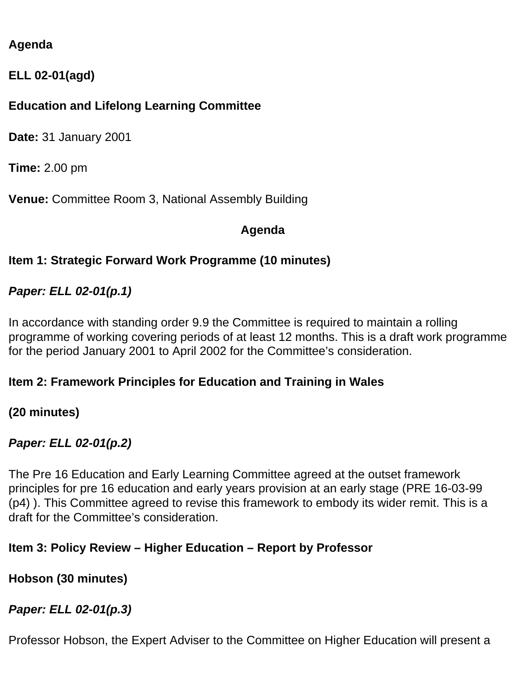# **Agenda**

**ELL 02-01(agd)**

# **Education and Lifelong Learning Committee**

**Date:** 31 January 2001

**Time:** 2.00 pm

**Venue:** Committee Room 3, National Assembly Building

#### **Agenda**

### **Item 1: Strategic Forward Work Programme (10 minutes)**

### *Paper: ELL 02-01(p.1)*

In accordance with standing order 9.9 the Committee is required to maintain a rolling programme of working covering periods of at least 12 months. This is a draft work programme for the period January 2001 to April 2002 for the Committee's consideration.

### **Item 2: Framework Principles for Education and Training in Wales**

**(20 minutes)**

# *Paper: ELL 02-01(p.2)*

The Pre 16 Education and Early Learning Committee agreed at the outset framework principles for pre 16 education and early years provision at an early stage (PRE 16-03-99 (p4) ). This Committee agreed to revise this framework to embody its wider remit. This is a draft for the Committee's consideration.

### **Item 3: Policy Review – Higher Education – Report by Professor**

### **Hobson (30 minutes)**

### *Paper: ELL 02-01(p.3)*

Professor Hobson, the Expert Adviser to the Committee on Higher Education will present a